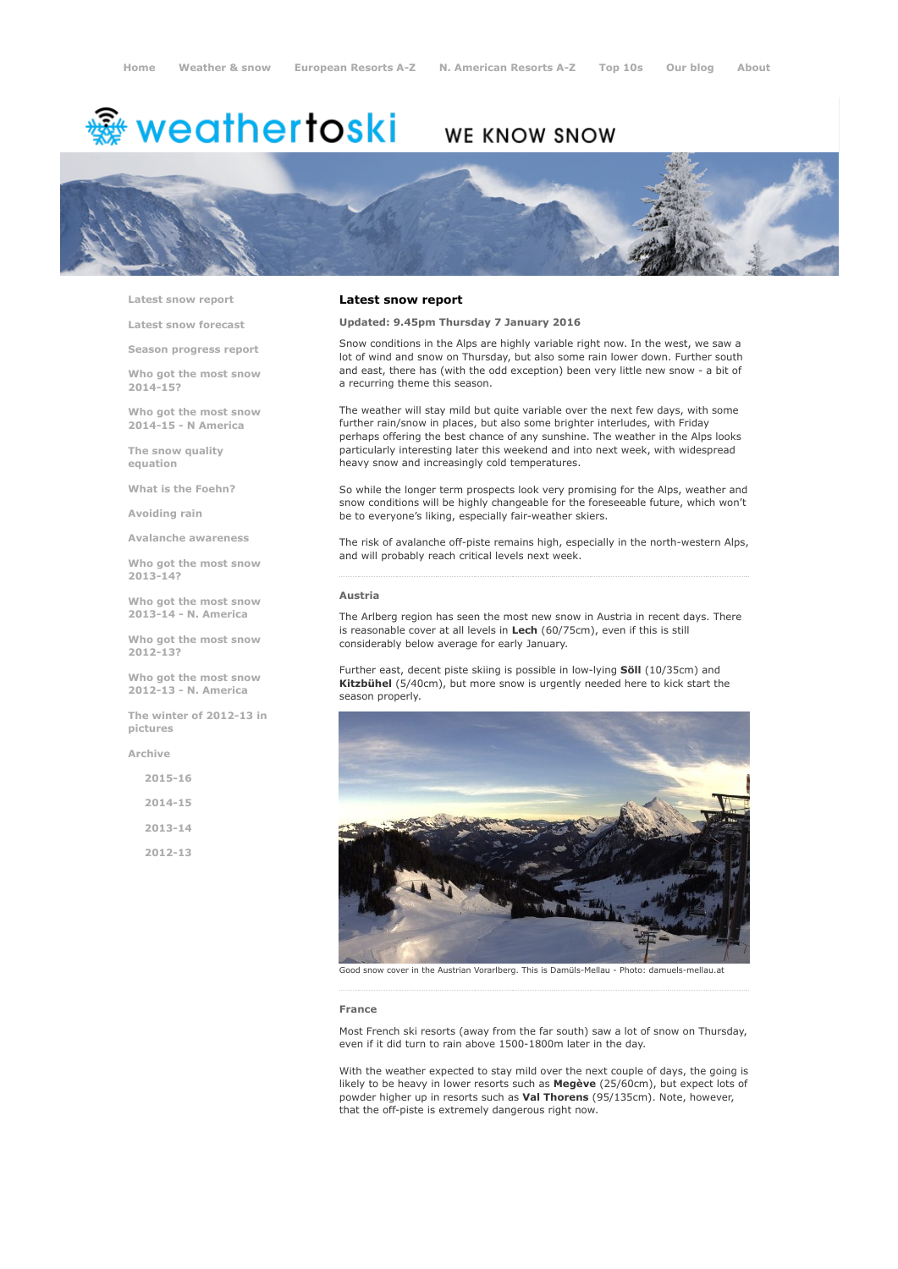# <sup>鑫</sup> weathertoski

# WE KNOW SNOW



Latest snow [report](http://www.weathertoski.co.uk/weather-snow/latest-snow-report/)

Latest snow [forecast](http://www.weathertoski.co.uk/weather-snow/latest-snow-forecast/)

Season [progress](http://www.weathertoski.co.uk/weather-snow/season-progress-report/) report

Who got the most snow 2014-15?

Who got the most snow 2014-15 - N America

The snow quality [equation](http://www.weathertoski.co.uk/weather-snow/the-snow-quality-equation/)

What is the [Foehn?](http://www.weathertoski.co.uk/weather-snow/what-is-the-foehn/)

[Avoiding](http://www.weathertoski.co.uk/weather-snow/avoiding-rain/) rain

Avalanche [awareness](http://www.weathertoski.co.uk/weather-snow/avalanche-awareness/)

Who got the most snow 2013-14?

Who got the most snow 2013-14 - N. America

Who got the most snow 2012-13?

Who got the most snow 2012-13 - N. America

The winter of 2012-13 in pictures

[Archive](http://www.weathertoski.co.uk/weather-snow/archive/)

2015-16 2014-15 2013-14 2012-13

# Latest snow report

Updated: 9.45pm Thursday 7 January 2016

Snow conditions in the Alps are highly variable right now. In the west, we saw a lot of wind and snow on Thursday, but also some rain lower down. Further south and east, there has (with the odd exception) been very little new snow - a bit of a recurring theme this season.

The weather will stay mild but quite variable over the next few days, with some further rain/snow in places, but also some brighter interludes, with Friday perhaps offering the best chance of any sunshine. The weather in the Alps looks particularly interesting later this weekend and into next week, with widespread heavy snow and increasingly cold temperatures.

So while the longer term prospects look very promising for the Alps, weather and snow conditions will be highly changeable for the foreseeable future, which won't be to everyone's liking, especially fair-weather skiers.

The risk of avalanche off-piste remains high, especially in the north-western Alps, and will probably reach critical levels next week.

## Austria

The Arlberg region has seen the most new snow in Austria in recent days. There is reasonable cover at all levels in Lech (60/75cm), even if this is still considerably below average for early January.

Further east, decent piste skiing is possible in low-lying Söll (10/35cm) and Kitzbühel (5/40cm), but more snow is urgently needed here to kick start the season properly.



Good snow cover in the Austrian Vorarlberg. This is Damüls-Mellau - Photo: damuels-mellau.at

#### France

Most French ski resorts (away from the far south) saw a lot of snow on Thursday, even if it did turn to rain above 1500-1800m later in the day.

With the weather expected to stay mild over the next couple of days, the going is likely to be heavy in lower resorts such as Megève (25/60cm), but expect lots of powder higher up in resorts such as Val Thorens (95/135cm). Note, however, that the off-piste is extremely dangerous right now.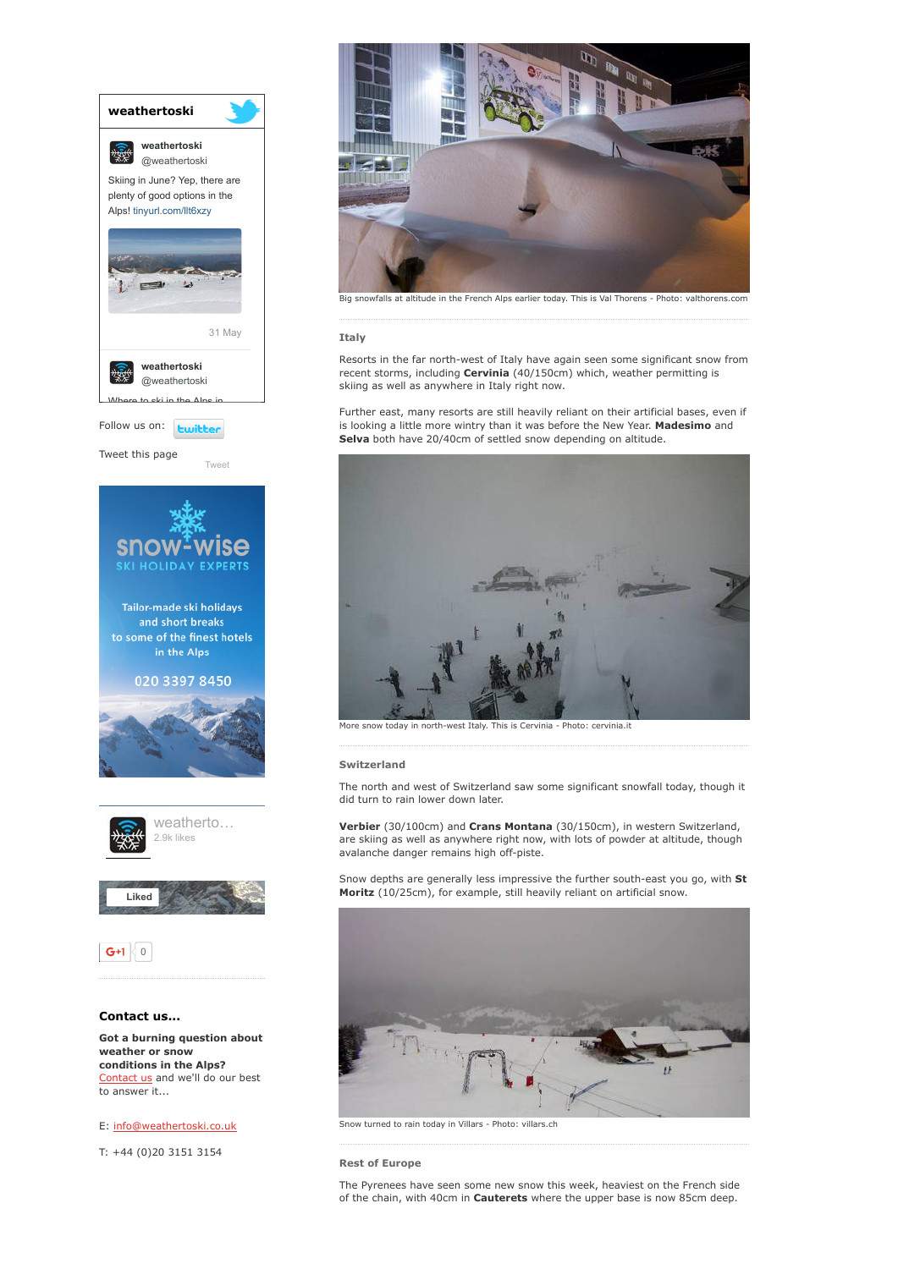

weather or snow conditions in the Alps? [Contact](http://www.weathertoski.co.uk/about-1/contact-us/) us and we'll do our best to answer it...

E: [info@weathertoski.co.uk](mailto:fraser@weathertoski.co.uk)

T: +44 (0)20 3151 3154



Big snowfalls at altitude in the French Alps earlier today. This is Val Thorens - Photo: valthorens.com

# Italy

Resorts in the far north-west of Italy have again seen some significant snow from recent storms, including **Cervinia** (40/150cm) which, weather permitting is skiing as well as anywhere in Italy right now.

Further east, many resorts are still heavily reliant on their artificial bases, even if is looking a little more wintry than it was before the New Year. Madesimo and Selva both have 20/40cm of settled snow depending on altitude.



More snow today in north-west Italy. This is Cervinia - Photo: cervinia.it

### Switzerland

The north and west of Switzerland saw some significant snowfall today, though it did turn to rain lower down later.

Verbier (30/100cm) and Crans Montana (30/150cm), in western Switzerland, are skiing as well as anywhere right now, with lots of powder at altitude, though avalanche danger remains high off-piste.

Snow depths are generally less impressive the further south-east you go, with St Moritz (10/25cm), for example, still heavily reliant on artificial snow.



Snow turned to rain today in Villars - Photo: villars.ch

# Rest of Europe

The Pyrenees have seen some new snow this week, heaviest on the French side of the chain, with 40cm in **Cauterets** where the upper base is now 85cm deep.